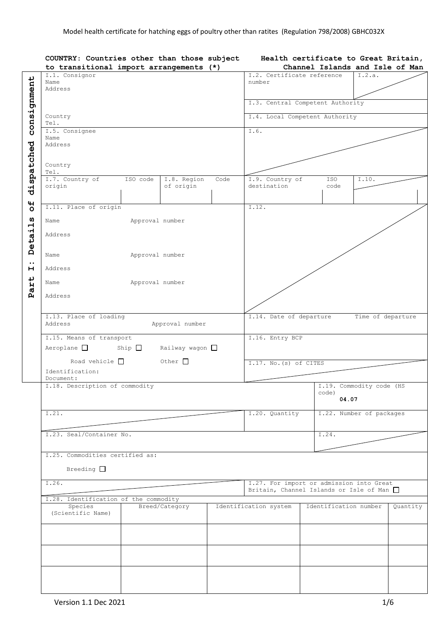|                     | COUNTRY: Countries other than those subject<br>to transitional import arrangements (*) |                                                   |                       | Health certificate to Great Britain,<br>Channel Islands and Isle of Man |  |  |
|---------------------|----------------------------------------------------------------------------------------|---------------------------------------------------|-----------------------|-------------------------------------------------------------------------|--|--|
|                     | I.1. Consignor                                                                         | I.2. Certificate reference                        |                       | I.2.a.                                                                  |  |  |
|                     | Name                                                                                   | number                                            |                       |                                                                         |  |  |
|                     | Address                                                                                |                                                   |                       |                                                                         |  |  |
|                     |                                                                                        |                                                   |                       |                                                                         |  |  |
| consignment         |                                                                                        | I.3. Central Competent Authority                  |                       |                                                                         |  |  |
|                     | Country<br>Tel.                                                                        | I.4. Local Competent Authority                    |                       |                                                                         |  |  |
|                     | I.5. Consignee                                                                         |                                                   |                       |                                                                         |  |  |
|                     | Name                                                                                   | I.6.                                              |                       |                                                                         |  |  |
|                     | Address                                                                                |                                                   |                       |                                                                         |  |  |
|                     |                                                                                        |                                                   |                       |                                                                         |  |  |
|                     |                                                                                        |                                                   |                       |                                                                         |  |  |
|                     | Country                                                                                |                                                   |                       |                                                                         |  |  |
| dispatched          | Tel.                                                                                   |                                                   |                       |                                                                         |  |  |
|                     | I.7. Country of<br>ISO code<br>I.8. Region<br>Code                                     | I.9. Country of                                   | ISO                   | I.10.                                                                   |  |  |
|                     | origin<br>of origin                                                                    | destination                                       | code                  |                                                                         |  |  |
|                     |                                                                                        |                                                   |                       |                                                                         |  |  |
| $\mathbf{H}$        | I.11. Place of origin                                                                  | I.12.                                             |                       |                                                                         |  |  |
| $\ddot{\mathbf{o}}$ |                                                                                        |                                                   |                       |                                                                         |  |  |
| ທ                   | Name<br>Approval number                                                                |                                                   |                       |                                                                         |  |  |
|                     |                                                                                        |                                                   |                       |                                                                         |  |  |
|                     | Address                                                                                |                                                   |                       |                                                                         |  |  |
|                     |                                                                                        |                                                   |                       |                                                                         |  |  |
| Detail              | Approval number<br>Name                                                                |                                                   |                       |                                                                         |  |  |
| $\bullet\bullet$    |                                                                                        |                                                   |                       |                                                                         |  |  |
| н                   | Address                                                                                |                                                   |                       |                                                                         |  |  |
|                     |                                                                                        |                                                   |                       |                                                                         |  |  |
| art                 | Approval number<br>Name                                                                |                                                   |                       |                                                                         |  |  |
| $\mathbf{p}$        |                                                                                        |                                                   |                       |                                                                         |  |  |
|                     | Address                                                                                |                                                   |                       |                                                                         |  |  |
|                     |                                                                                        |                                                   |                       |                                                                         |  |  |
|                     | I.13. Place of loading                                                                 | I.14. Date of departure                           |                       | Time of departure                                                       |  |  |
|                     | Approval number<br>Address                                                             |                                                   |                       |                                                                         |  |  |
|                     |                                                                                        |                                                   |                       |                                                                         |  |  |
|                     | I.15. Means of transport                                                               | I.16. Entry BCP                                   |                       |                                                                         |  |  |
|                     | $Aeroplane$ $\Box$<br>Ship<br>Railway wagon □                                          |                                                   |                       |                                                                         |  |  |
|                     |                                                                                        |                                                   |                       |                                                                         |  |  |
|                     | Road vehicle $\Box$<br>Other $\Box$                                                    | I.17. No. (s) of CITES                            |                       |                                                                         |  |  |
|                     | Identification:                                                                        |                                                   |                       |                                                                         |  |  |
|                     | Document:                                                                              |                                                   |                       |                                                                         |  |  |
|                     | I.18. Description of commodity                                                         |                                                   |                       | I.19. Commodity code (HS                                                |  |  |
|                     |                                                                                        |                                                   | code)<br>04.07        |                                                                         |  |  |
|                     |                                                                                        |                                                   |                       |                                                                         |  |  |
|                     | I.21.                                                                                  | I.20. Quantity                                    |                       | I.22. Number of packages                                                |  |  |
|                     |                                                                                        |                                                   |                       |                                                                         |  |  |
|                     |                                                                                        |                                                   |                       |                                                                         |  |  |
|                     | I.23. Seal/Container No.                                                               |                                                   | I.24.                 |                                                                         |  |  |
|                     |                                                                                        |                                                   |                       |                                                                         |  |  |
|                     | I.25. Commodities certified as:                                                        |                                                   |                       |                                                                         |  |  |
|                     |                                                                                        |                                                   |                       |                                                                         |  |  |
|                     | Breeding $\Box$                                                                        |                                                   |                       |                                                                         |  |  |
|                     |                                                                                        |                                                   |                       |                                                                         |  |  |
|                     | I.26.                                                                                  | I.27. For import or admission into Great          |                       |                                                                         |  |  |
|                     |                                                                                        | Britain, Channel Islands or Isle of Man $\square$ |                       |                                                                         |  |  |
|                     | I.28. Identification of the commodity                                                  |                                                   |                       |                                                                         |  |  |
|                     | Species<br>Breed/Category                                                              | Identification system                             | Identification number | Quantity                                                                |  |  |
|                     | (Scientific Name)                                                                      |                                                   |                       |                                                                         |  |  |
|                     |                                                                                        |                                                   |                       |                                                                         |  |  |
|                     |                                                                                        |                                                   |                       |                                                                         |  |  |
|                     |                                                                                        |                                                   |                       |                                                                         |  |  |
|                     |                                                                                        |                                                   |                       |                                                                         |  |  |
|                     |                                                                                        |                                                   |                       |                                                                         |  |  |
|                     |                                                                                        |                                                   |                       |                                                                         |  |  |
|                     |                                                                                        |                                                   |                       |                                                                         |  |  |
|                     |                                                                                        |                                                   |                       |                                                                         |  |  |
|                     |                                                                                        |                                                   |                       |                                                                         |  |  |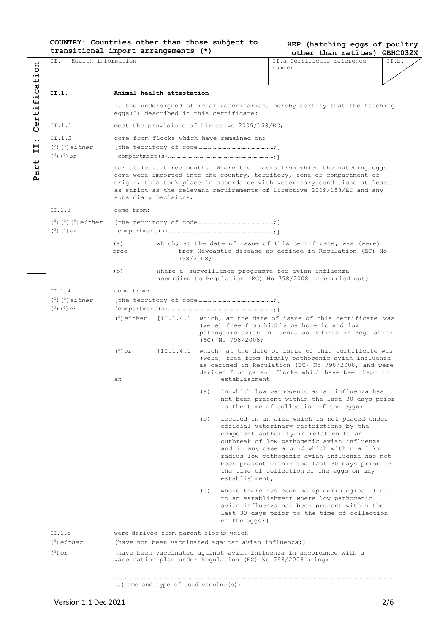## **COUNTRY: Countries other than those subject to transitional import arrangements (\*)**

**HEP (hatching eggs of poultry other than ratites) GBHC032X**

|                                             | II.<br>Health information           |                                                                                                                                                                                                                                                                                                                                     |                                                                                                                                                                                            |                                                                                                                                                                                                                                                    |                                                     | II.a Certificate reference                                                                                                                                                                                                                                                                                                                                                  | --------<br>II.b. |  |  |  |
|---------------------------------------------|-------------------------------------|-------------------------------------------------------------------------------------------------------------------------------------------------------------------------------------------------------------------------------------------------------------------------------------------------------------------------------------|--------------------------------------------------------------------------------------------------------------------------------------------------------------------------------------------|----------------------------------------------------------------------------------------------------------------------------------------------------------------------------------------------------------------------------------------------------|-----------------------------------------------------|-----------------------------------------------------------------------------------------------------------------------------------------------------------------------------------------------------------------------------------------------------------------------------------------------------------------------------------------------------------------------------|-------------------|--|--|--|
|                                             |                                     |                                                                                                                                                                                                                                                                                                                                     |                                                                                                                                                                                            |                                                                                                                                                                                                                                                    |                                                     | number                                                                                                                                                                                                                                                                                                                                                                      |                   |  |  |  |
|                                             |                                     |                                                                                                                                                                                                                                                                                                                                     |                                                                                                                                                                                            |                                                                                                                                                                                                                                                    |                                                     |                                                                                                                                                                                                                                                                                                                                                                             |                   |  |  |  |
|                                             |                                     |                                                                                                                                                                                                                                                                                                                                     |                                                                                                                                                                                            |                                                                                                                                                                                                                                                    |                                                     |                                                                                                                                                                                                                                                                                                                                                                             |                   |  |  |  |
| ication                                     | II.1.                               | Animal health attestation                                                                                                                                                                                                                                                                                                           |                                                                                                                                                                                            |                                                                                                                                                                                                                                                    |                                                     |                                                                                                                                                                                                                                                                                                                                                                             |                   |  |  |  |
| $\ddot{ }$<br>erti                          |                                     |                                                                                                                                                                                                                                                                                                                                     | eggs(') described in this certificate:                                                                                                                                                     |                                                                                                                                                                                                                                                    |                                                     | I, the undersigned official veterinarian, hereby certify that the hatching                                                                                                                                                                                                                                                                                                  |                   |  |  |  |
|                                             | II.1.1                              |                                                                                                                                                                                                                                                                                                                                     |                                                                                                                                                                                            |                                                                                                                                                                                                                                                    | meet the provisions of Directive 2009/158/EC;       |                                                                                                                                                                                                                                                                                                                                                                             |                   |  |  |  |
| Ű<br>$\ddot{\phantom{0}}\phantom{0}\bullet$ | II.1.2                              |                                                                                                                                                                                                                                                                                                                                     |                                                                                                                                                                                            |                                                                                                                                                                                                                                                    | come from flocks which have remained on:            |                                                                                                                                                                                                                                                                                                                                                                             |                   |  |  |  |
| н                                           | $(2)$ $(3)$ either                  |                                                                                                                                                                                                                                                                                                                                     |                                                                                                                                                                                            |                                                                                                                                                                                                                                                    |                                                     |                                                                                                                                                                                                                                                                                                                                                                             |                   |  |  |  |
| н<br>ب                                      | $({}^{3})$ $({}^{4})$ or            |                                                                                                                                                                                                                                                                                                                                     |                                                                                                                                                                                            |                                                                                                                                                                                                                                                    |                                                     |                                                                                                                                                                                                                                                                                                                                                                             |                   |  |  |  |
| Ĥ<br>ർ<br>д                                 |                                     | for at least three months. Where the flocks from which the hatching eggs<br>come were imported into the country, territory, zone or compartment of<br>origin, this took place in accordance with veterinary conditions at least<br>as strict as the relevant requirements of Directive 2009/158/EC and any<br>subsidiary Decisions; |                                                                                                                                                                                            |                                                                                                                                                                                                                                                    |                                                     |                                                                                                                                                                                                                                                                                                                                                                             |                   |  |  |  |
|                                             | TT.1.3                              | come from:                                                                                                                                                                                                                                                                                                                          |                                                                                                                                                                                            |                                                                                                                                                                                                                                                    |                                                     |                                                                                                                                                                                                                                                                                                                                                                             |                   |  |  |  |
|                                             | $(^{2})$ $(^{3})$ $(^{9})$ either   |                                                                                                                                                                                                                                                                                                                                     |                                                                                                                                                                                            |                                                                                                                                                                                                                                                    |                                                     |                                                                                                                                                                                                                                                                                                                                                                             |                   |  |  |  |
|                                             | $(3)(4)$ or                         |                                                                                                                                                                                                                                                                                                                                     |                                                                                                                                                                                            |                                                                                                                                                                                                                                                    |                                                     |                                                                                                                                                                                                                                                                                                                                                                             |                   |  |  |  |
|                                             |                                     |                                                                                                                                                                                                                                                                                                                                     |                                                                                                                                                                                            |                                                                                                                                                                                                                                                    |                                                     |                                                                                                                                                                                                                                                                                                                                                                             |                   |  |  |  |
|                                             |                                     | free                                                                                                                                                                                                                                                                                                                                | which, at the date of issue of this certificate, was (were)<br>(a)<br>from Newcastle disease as defined in Regulation (EC) No<br>798/2008;                                                 |                                                                                                                                                                                                                                                    |                                                     |                                                                                                                                                                                                                                                                                                                                                                             |                   |  |  |  |
|                                             |                                     | (b)                                                                                                                                                                                                                                                                                                                                 |                                                                                                                                                                                            |                                                                                                                                                                                                                                                    |                                                     | where a surveillance programme for avian influenza<br>according to Regulation (EC) No 798/2008 is carried out;                                                                                                                                                                                                                                                              |                   |  |  |  |
|                                             | II.1.4                              | come from:                                                                                                                                                                                                                                                                                                                          |                                                                                                                                                                                            |                                                                                                                                                                                                                                                    |                                                     |                                                                                                                                                                                                                                                                                                                                                                             |                   |  |  |  |
|                                             | $(2)$ $(3)$ either                  |                                                                                                                                                                                                                                                                                                                                     |                                                                                                                                                                                            |                                                                                                                                                                                                                                                    |                                                     |                                                                                                                                                                                                                                                                                                                                                                             |                   |  |  |  |
|                                             | $(^{3})$ $(^{4})$ or                |                                                                                                                                                                                                                                                                                                                                     |                                                                                                                                                                                            |                                                                                                                                                                                                                                                    |                                                     |                                                                                                                                                                                                                                                                                                                                                                             |                   |  |  |  |
|                                             |                                     | $(3)$ either                                                                                                                                                                                                                                                                                                                        | [II.1.4.1 which, at the date of issue of this certificate was<br>(were) free from highly pathogenic and low<br>pathogenic avian influenza as defined in Regulation<br>$(EC)$ No 798/2008;] |                                                                                                                                                                                                                                                    |                                                     |                                                                                                                                                                                                                                                                                                                                                                             |                   |  |  |  |
|                                             |                                     | $(3)$ or<br>an                                                                                                                                                                                                                                                                                                                      |                                                                                                                                                                                            | [II.1.4.1 which, at the date of issue of this certificate was<br>(were) free from highly pathogenic avian influenza<br>as defined in Requlation (EC) No 798/2008, and were<br>derived from parent flocks which have been kept in<br>establishment: |                                                     |                                                                                                                                                                                                                                                                                                                                                                             |                   |  |  |  |
|                                             |                                     |                                                                                                                                                                                                                                                                                                                                     |                                                                                                                                                                                            |                                                                                                                                                                                                                                                    |                                                     |                                                                                                                                                                                                                                                                                                                                                                             |                   |  |  |  |
|                                             |                                     |                                                                                                                                                                                                                                                                                                                                     |                                                                                                                                                                                            |                                                                                                                                                                                                                                                    |                                                     | (a) in which low pathogenic avian influenza has<br>not been present within the last 30 days prior<br>to the time of collection of the eggs;                                                                                                                                                                                                                                 |                   |  |  |  |
|                                             |                                     |                                                                                                                                                                                                                                                                                                                                     |                                                                                                                                                                                            | (b)                                                                                                                                                                                                                                                | establishment;                                      | located in an area which is not placed under<br>official veterinary restrictions by the<br>competent authority in relation to an<br>outbreak of low pathogenic avian influenza<br>and in any case around which within a 1 km<br>radius low pathogenic avian influenza has not<br>been present within the last 30 days prior to<br>the time of collection of the eggs on any |                   |  |  |  |
|                                             |                                     |                                                                                                                                                                                                                                                                                                                                     |                                                                                                                                                                                            | (c)                                                                                                                                                                                                                                                | of the eggs;]                                       | where there has been no epidemiological link<br>to an establishment where low pathogenic<br>avian influenza has been present within the<br>last 30 days prior to the time of collection                                                                                                                                                                                     |                   |  |  |  |
|                                             | II.1.5                              |                                                                                                                                                                                                                                                                                                                                     | were derived from parent flocks which:                                                                                                                                                     |                                                                                                                                                                                                                                                    |                                                     |                                                                                                                                                                                                                                                                                                                                                                             |                   |  |  |  |
|                                             | $(3)$ either                        |                                                                                                                                                                                                                                                                                                                                     |                                                                                                                                                                                            |                                                                                                                                                                                                                                                    | [have not been vaccinated against avian influenza;] |                                                                                                                                                                                                                                                                                                                                                                             |                   |  |  |  |
|                                             | $(3)$ or                            |                                                                                                                                                                                                                                                                                                                                     |                                                                                                                                                                                            |                                                                                                                                                                                                                                                    |                                                     | [have been vaccinated against avian influenza in accordance with a<br>vaccination plan under Regulation (EC) No 798/2008 using:                                                                                                                                                                                                                                             |                   |  |  |  |
|                                             | (name and type of used vaccine (s)) |                                                                                                                                                                                                                                                                                                                                     |                                                                                                                                                                                            |                                                                                                                                                                                                                                                    |                                                     |                                                                                                                                                                                                                                                                                                                                                                             |                   |  |  |  |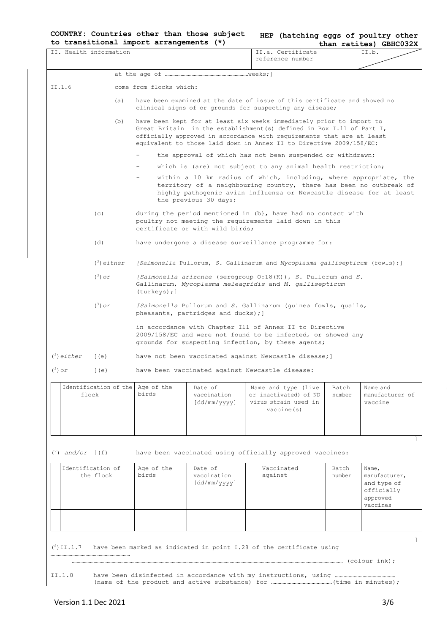|  |                                         |  |  | COUNTRY: Countries other than those subject |
|--|-----------------------------------------|--|--|---------------------------------------------|
|  | to transitional import arrangements (*) |  |  |                                             |

| HEP (hatching eggs of poultry other |  |                           |  |
|-------------------------------------|--|---------------------------|--|
|                                     |  | $+$ han ratitool CRHCO32Y |  |

|                            |                                           | to transitional import arrangements (*) |                                        |                                                                                                                                                                                                                                                                                               |                 | than ratites) GBHC032X                                                      |
|----------------------------|-------------------------------------------|-----------------------------------------|----------------------------------------|-----------------------------------------------------------------------------------------------------------------------------------------------------------------------------------------------------------------------------------------------------------------------------------------------|-----------------|-----------------------------------------------------------------------------|
|                            | IT. Health information                    |                                         |                                        | II.a. Certificate<br>reference number                                                                                                                                                                                                                                                         |                 | II.b.                                                                       |
|                            |                                           |                                         |                                        |                                                                                                                                                                                                                                                                                               |                 |                                                                             |
| II.1.6                     |                                           | come from flocks which:                 |                                        |                                                                                                                                                                                                                                                                                               |                 |                                                                             |
|                            | (a)                                       |                                         |                                        | have been examined at the date of issue of this certificate and showed no                                                                                                                                                                                                                     |                 |                                                                             |
|                            |                                           |                                         |                                        | clinical signs of or grounds for suspecting any disease;                                                                                                                                                                                                                                      |                 |                                                                             |
|                            | (b)                                       |                                         |                                        | have been kept for at least six weeks immediately prior to import to<br>Great Britain in the establishment (s) defined in Box I.11 of Part I,<br>officially approved in accordance with requirements that are at least<br>equivalent to those laid down in Annex II to Directive 2009/158/EC: |                 |                                                                             |
|                            |                                           |                                         |                                        | the approval of which has not been suspended or withdrawn;                                                                                                                                                                                                                                    |                 |                                                                             |
|                            |                                           |                                         |                                        | which is (are) not subject to any animal health restriction;                                                                                                                                                                                                                                  |                 |                                                                             |
|                            |                                           |                                         | the previous 30 days;                  | within a 10 km radius of which, including, where appropriate, the<br>territory of a neighbouring country, there has been no outbreak of<br>highly pathogenic avian influenza or Newcastle disease for at least                                                                                |                 |                                                                             |
|                            | (C)                                       |                                         | certificate or with wild birds;        | during the period mentioned in $(b)$ , have had no contact with<br>poultry not meeting the requirements laid down in this                                                                                                                                                                     |                 |                                                                             |
|                            | (d)                                       |                                         |                                        | have undergone a disease surveillance programme for:                                                                                                                                                                                                                                          |                 |                                                                             |
|                            | $(3)$ either                              |                                         |                                        | [Salmonella Pullorum, S. Gallinarum and Mycoplasma gallisepticum (fowls);]                                                                                                                                                                                                                    |                 |                                                                             |
|                            | $(3)$ or                                  | (turkeys);]                             |                                        | [Salmonella arizonae (serogroup $0:18(K)$ ), S. Pullorum and S.<br>Gallinarum, Mycoplasma meleagridis and M. gallisepticum                                                                                                                                                                    |                 |                                                                             |
|                            | $(3)$ or                                  |                                         | pheasants, partridges and ducks); ]    | [Salmonella Pullorum and S. Gallinarum (guinea fowls, quails,                                                                                                                                                                                                                                 |                 |                                                                             |
|                            |                                           |                                         |                                        | in accordance with Chapter Ill of Annex II to Directive<br>$2009/158/EC$ and were not found to be infected, or showed any<br>grounds for suspecting infection, by these agents;                                                                                                               |                 |                                                                             |
| $(3)$ either               | [ (e)                                     |                                         |                                        | have not been vaccinated against Newcastle disease; ]                                                                                                                                                                                                                                         |                 |                                                                             |
| $(3)$ or                   | (e)                                       |                                         |                                        | have been vaccinated against Newcastle disease:                                                                                                                                                                                                                                               |                 |                                                                             |
|                            | Identification of the Aqe of the<br>flock | birds                                   | Date of<br>vaccination<br>[dd/mm/yyyy] | Name and type (live<br>or inactivated) of ND<br>virus strain used in<br>vaccine(s)                                                                                                                                                                                                            | Batch<br>number | Name and<br>manufacturer of<br>vaccine                                      |
|                            |                                           |                                         |                                        |                                                                                                                                                                                                                                                                                               |                 |                                                                             |
| $(^7)$ and/or $\lceil$ (f) |                                           |                                         |                                        | have been vaccinated using officially approved vaccines:                                                                                                                                                                                                                                      |                 |                                                                             |
|                            | Identification of<br>the flock            | Age of the<br>birds                     | Date of<br>vaccination<br>[dd/mm/yyyy] | Vaccinated<br>against                                                                                                                                                                                                                                                                         | Batch<br>number | Name,<br>manufacturer,<br>and type of<br>officially<br>approved<br>vaccines |
|                            |                                           |                                         |                                        |                                                                                                                                                                                                                                                                                               |                 |                                                                             |
| $(8)$ II.1.7               |                                           |                                         |                                        | have been marked as indicated in point I.28 of the certificate using                                                                                                                                                                                                                          |                 |                                                                             |
|                            |                                           |                                         |                                        |                                                                                                                                                                                                                                                                                               |                 |                                                                             |
|                            |                                           |                                         |                                        |                                                                                                                                                                                                                                                                                               |                 |                                                                             |
| II.1.8                     |                                           |                                         |                                        |                                                                                                                                                                                                                                                                                               |                 |                                                                             |
|                            |                                           |                                         |                                        |                                                                                                                                                                                                                                                                                               |                 |                                                                             |

 $\overline{1}$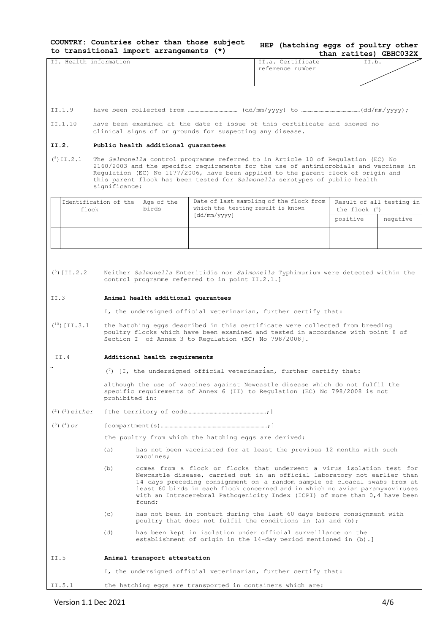**COUNTRY: Countries other than those subject to transitional import arrangements (\*) HEP (hatching eggs of poultry other** 

|                          |                       | to transitional import arrangements (*) |                                                                                |                                                                                                                                                                            |                 | than ratites) GBHC032X   |  |
|--------------------------|-----------------------|-----------------------------------------|--------------------------------------------------------------------------------|----------------------------------------------------------------------------------------------------------------------------------------------------------------------------|-----------------|--------------------------|--|
| II. Health information   |                       |                                         |                                                                                | II.a. Certificate                                                                                                                                                          |                 | II.b.                    |  |
|                          |                       |                                         |                                                                                | reference number                                                                                                                                                           |                 |                          |  |
|                          |                       |                                         |                                                                                |                                                                                                                                                                            |                 |                          |  |
|                          |                       |                                         |                                                                                |                                                                                                                                                                            |                 |                          |  |
|                          |                       |                                         |                                                                                |                                                                                                                                                                            |                 |                          |  |
| II.1.9                   |                       |                                         |                                                                                |                                                                                                                                                                            |                 |                          |  |
| II.1.10                  |                       |                                         |                                                                                | have been examined at the date of issue of this certificate and showed no                                                                                                  |                 |                          |  |
|                          |                       |                                         | clinical signs of or grounds for suspecting any disease.                       |                                                                                                                                                                            |                 |                          |  |
| II.2.                    |                       | Public health additional quarantees     |                                                                                |                                                                                                                                                                            |                 |                          |  |
|                          |                       |                                         |                                                                                |                                                                                                                                                                            |                 |                          |  |
| $(5)$ II.2.1             |                       |                                         |                                                                                | The Salmonella control programme referred to in Article 10 of Regulation (EC) No                                                                                           |                 |                          |  |
|                          |                       |                                         |                                                                                | 2160/2003 and the specific requirements for the use of antimicrobials and vaccines in<br>Regulation (EC) No 1177/2006, have been applied to the parent flock of origin and |                 |                          |  |
|                          |                       |                                         |                                                                                | this parent flock has been tested for Salmonella serotypes of public health                                                                                                |                 |                          |  |
|                          | significance:         |                                         |                                                                                |                                                                                                                                                                            |                 |                          |  |
|                          | Identification of the | Age of the                              |                                                                                | Date of last sampling of the flock from                                                                                                                                    |                 | Result of all testing in |  |
| flock                    |                       | birds                                   | which the testing result is known                                              |                                                                                                                                                                            | the flock $(6)$ |                          |  |
|                          |                       |                                         | [dd/mm/yyyy]                                                                   |                                                                                                                                                                            | positive        | negative                 |  |
|                          |                       |                                         |                                                                                |                                                                                                                                                                            |                 |                          |  |
|                          |                       |                                         |                                                                                |                                                                                                                                                                            |                 |                          |  |
|                          |                       |                                         |                                                                                |                                                                                                                                                                            |                 |                          |  |
|                          |                       |                                         |                                                                                |                                                                                                                                                                            |                 |                          |  |
|                          |                       |                                         |                                                                                |                                                                                                                                                                            |                 |                          |  |
| $(5)$ [II.2.2]           |                       |                                         | control programme referred to in point II.2.1.]                                | Neither Salmonella Enteritidis nor Salmonella Typhimurium were detected within the                                                                                         |                 |                          |  |
|                          |                       |                                         |                                                                                |                                                                                                                                                                            |                 |                          |  |
| II.3                     |                       | Animal health additional quarantees     |                                                                                |                                                                                                                                                                            |                 |                          |  |
|                          |                       |                                         |                                                                                |                                                                                                                                                                            |                 |                          |  |
|                          |                       |                                         |                                                                                | I, the undersigned official veterinarian, further certify that:                                                                                                            |                 |                          |  |
| $(10)$ [II.3.1]          |                       |                                         |                                                                                | the hatching eggs described in this certificate were collected from breeding                                                                                               |                 |                          |  |
|                          |                       |                                         |                                                                                | poultry flocks which have been examined and tested in accordance with point 8 of                                                                                           |                 |                          |  |
|                          |                       |                                         | Section I of Annex 3 to Regulation (EC) No 798/2008].                          |                                                                                                                                                                            |                 |                          |  |
| II.4                     |                       | Additional health requirements          |                                                                                |                                                                                                                                                                            |                 |                          |  |
|                          |                       |                                         |                                                                                |                                                                                                                                                                            |                 |                          |  |
|                          |                       |                                         |                                                                                | $\binom{7}{1}$ [I, the undersigned official veterinarian, further certify that:                                                                                            |                 |                          |  |
|                          |                       |                                         | although the use of vaccines against Newcastle disease which do not fulfil the |                                                                                                                                                                            |                 |                          |  |
|                          |                       |                                         | specific requirements of Annex 6 (II) to Regulation (EC) No 798/2008 is not    |                                                                                                                                                                            |                 |                          |  |
|                          | prohibited in:        |                                         |                                                                                |                                                                                                                                                                            |                 |                          |  |
| $(2)$ $(3)$ either       |                       |                                         |                                                                                |                                                                                                                                                                            |                 |                          |  |
| $({}^{3})$ $({}^{4})$ or |                       |                                         |                                                                                |                                                                                                                                                                            |                 |                          |  |
|                          |                       |                                         |                                                                                |                                                                                                                                                                            |                 |                          |  |
|                          |                       |                                         | the poultry from which the hatching eggs are derived:                          |                                                                                                                                                                            |                 |                          |  |
|                          | (a)                   |                                         |                                                                                | has not been vaccinated for at least the previous 12 months with such                                                                                                      |                 |                          |  |
|                          |                       | vaccines;                               |                                                                                |                                                                                                                                                                            |                 |                          |  |
|                          | (b)                   |                                         |                                                                                | comes from a flock or flocks that underwent a virus isolation test for                                                                                                     |                 |                          |  |
|                          |                       |                                         |                                                                                | Newcastle disease, carried out in an official laboratory not earlier than<br>14 days preceding consignment on a random sample of cloacal swabs from at                     |                 |                          |  |
|                          |                       |                                         |                                                                                | least 60 birds in each flock concerned and in which no avian paramyxoviruses                                                                                               |                 |                          |  |
|                          |                       | found;                                  |                                                                                | with an Intracerebral Pathogenicity Index (ICPI) of more than 0,4 have been                                                                                                |                 |                          |  |
|                          |                       |                                         |                                                                                |                                                                                                                                                                            |                 |                          |  |
|                          | (C)                   |                                         |                                                                                | has not been in contact during the last 60 days before consignment with<br>poultry that does not fulfil the conditions in (a) and (b);                                     |                 |                          |  |
|                          | (d)                   |                                         |                                                                                | has been kept in isolation under official surveillance on the                                                                                                              |                 |                          |  |
|                          |                       |                                         |                                                                                | establishment of origin in the $14$ -day period mentioned in $(b)$ .]                                                                                                      |                 |                          |  |
|                          |                       |                                         |                                                                                |                                                                                                                                                                            |                 |                          |  |
| II.5                     |                       | Animal transport attestation            |                                                                                |                                                                                                                                                                            |                 |                          |  |
|                          |                       |                                         |                                                                                |                                                                                                                                                                            |                 |                          |  |
|                          |                       |                                         |                                                                                | I, the undersigned official veterinarian, further certify that:                                                                                                            |                 |                          |  |
| II.5.1                   |                       |                                         |                                                                                | the hatching eggs are transported in containers which are:                                                                                                                 |                 |                          |  |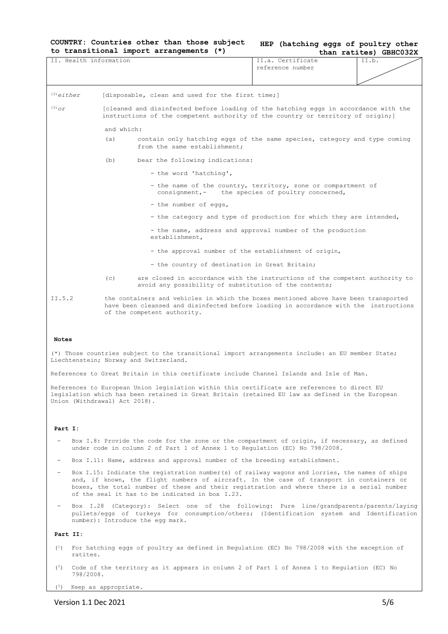# **COUNTRY: Countries other than those subject to transitional import arrangements (\*)**

| HEP (hatching eggs of poultry other |  |  |                        |
|-------------------------------------|--|--|------------------------|
|                                     |  |  | than ratites) GBHC032X |

| II. Health information        |                                                                                                                                                                                                              |                                                                                                                                                                                                  | II.a. Certificate                                                                                                | II.b. |  |  |
|-------------------------------|--------------------------------------------------------------------------------------------------------------------------------------------------------------------------------------------------------------|--------------------------------------------------------------------------------------------------------------------------------------------------------------------------------------------------|------------------------------------------------------------------------------------------------------------------|-------|--|--|
|                               |                                                                                                                                                                                                              |                                                                                                                                                                                                  | reference number                                                                                                 |       |  |  |
|                               |                                                                                                                                                                                                              |                                                                                                                                                                                                  |                                                                                                                  |       |  |  |
| $(3)$ ejther                  |                                                                                                                                                                                                              | [disposable, clean and used for the first time;]                                                                                                                                                 |                                                                                                                  |       |  |  |
| $(3)$ $\sigma r$              | [cleaned and disinfected before loading of the hatching eggs in accordance with the<br>instructions of the competent authority of the country or territory of origin; ]                                      |                                                                                                                                                                                                  |                                                                                                                  |       |  |  |
|                               | and which:                                                                                                                                                                                                   |                                                                                                                                                                                                  |                                                                                                                  |       |  |  |
|                               | (a)                                                                                                                                                                                                          | contain only hatching eggs of the same species, category and type coming<br>from the same establishment;                                                                                         |                                                                                                                  |       |  |  |
|                               | (b)                                                                                                                                                                                                          | bear the following indications:                                                                                                                                                                  |                                                                                                                  |       |  |  |
|                               |                                                                                                                                                                                                              | - the word 'hatching',                                                                                                                                                                           |                                                                                                                  |       |  |  |
|                               |                                                                                                                                                                                                              |                                                                                                                                                                                                  | - the name of the country, territory, zone or compartment of<br>consignment, - the species of poultry concerned, |       |  |  |
|                               |                                                                                                                                                                                                              | - the number of eggs,                                                                                                                                                                            |                                                                                                                  |       |  |  |
|                               |                                                                                                                                                                                                              |                                                                                                                                                                                                  | - the category and type of production for which they are intended,                                               |       |  |  |
|                               |                                                                                                                                                                                                              | establishment,                                                                                                                                                                                   | - the name, address and approval number of the production                                                        |       |  |  |
|                               |                                                                                                                                                                                                              | - the approval number of the establishment of origin,                                                                                                                                            |                                                                                                                  |       |  |  |
|                               |                                                                                                                                                                                                              | - the country of destination in Great Britain;                                                                                                                                                   |                                                                                                                  |       |  |  |
|                               | (c)                                                                                                                                                                                                          | are closed in accordance with the instructions of the competent authority to<br>avoid any possibility of substitution of the contents;                                                           |                                                                                                                  |       |  |  |
| II.5.2                        | the containers and vehicles in which the boxes mentioned above have been transported<br>have been cleansed and disinfected before loading in accordance with the instructions<br>of the competent authority. |                                                                                                                                                                                                  |                                                                                                                  |       |  |  |
| <b>Notes</b>                  |                                                                                                                                                                                                              |                                                                                                                                                                                                  |                                                                                                                  |       |  |  |
|                               |                                                                                                                                                                                                              | (*) Those countries subject to the transitional import arrangements include: an EU member State;<br>Liechtenstein; Norway and Switzerland.                                                       |                                                                                                                  |       |  |  |
|                               |                                                                                                                                                                                                              | References to Great Britain in this certificate include Channel Islands and Isle of Man.                                                                                                         |                                                                                                                  |       |  |  |
| Union (Withdrawal) Act 2018). |                                                                                                                                                                                                              | References to European Union legislation within this certificate are references to direct EU<br>legislation which has been retained in Great Britain (retained EU law as defined in the European |                                                                                                                  |       |  |  |
|                               |                                                                                                                                                                                                              |                                                                                                                                                                                                  |                                                                                                                  |       |  |  |

# **Part I:**

- Box I.8: Provide the code for the zone or the compartment of origin, if necessary, as defined under code in column 2 of Part 1 of Annex 1 to Regulation (EC) No 798/2008.
- Box I.11: Name, address and approval number of the breeding establishment.
- Box I.15: Indicate the registration number(s) of railway wagons and lorries, the names of ships and, if known, the flight numbers of aircraft. In the case of transport in containers or boxes, the total number of these and their registration and where there is a serial number of the seal it has to be indicated in box I.23.
- Box I.28 (Category): Select one of the following: Pure line/grandparents/parents/laying pullets/eggs of turkeys for consumption/others; (Identification system and Identification number): Introduce the egg mark.

#### **Part II:**

- ( <sup>1</sup>) For hatching eggs of poultry as defined in Regulation (EC) No 798/2008 with the exception of ratites.
- $(2)$ <sup>2</sup>) Code of the territory as it appears in column 2 of Part 1 of Annex 1 to Regulation (EC) No 798/2008.

( <sup>3</sup>) Keep as appropriate.